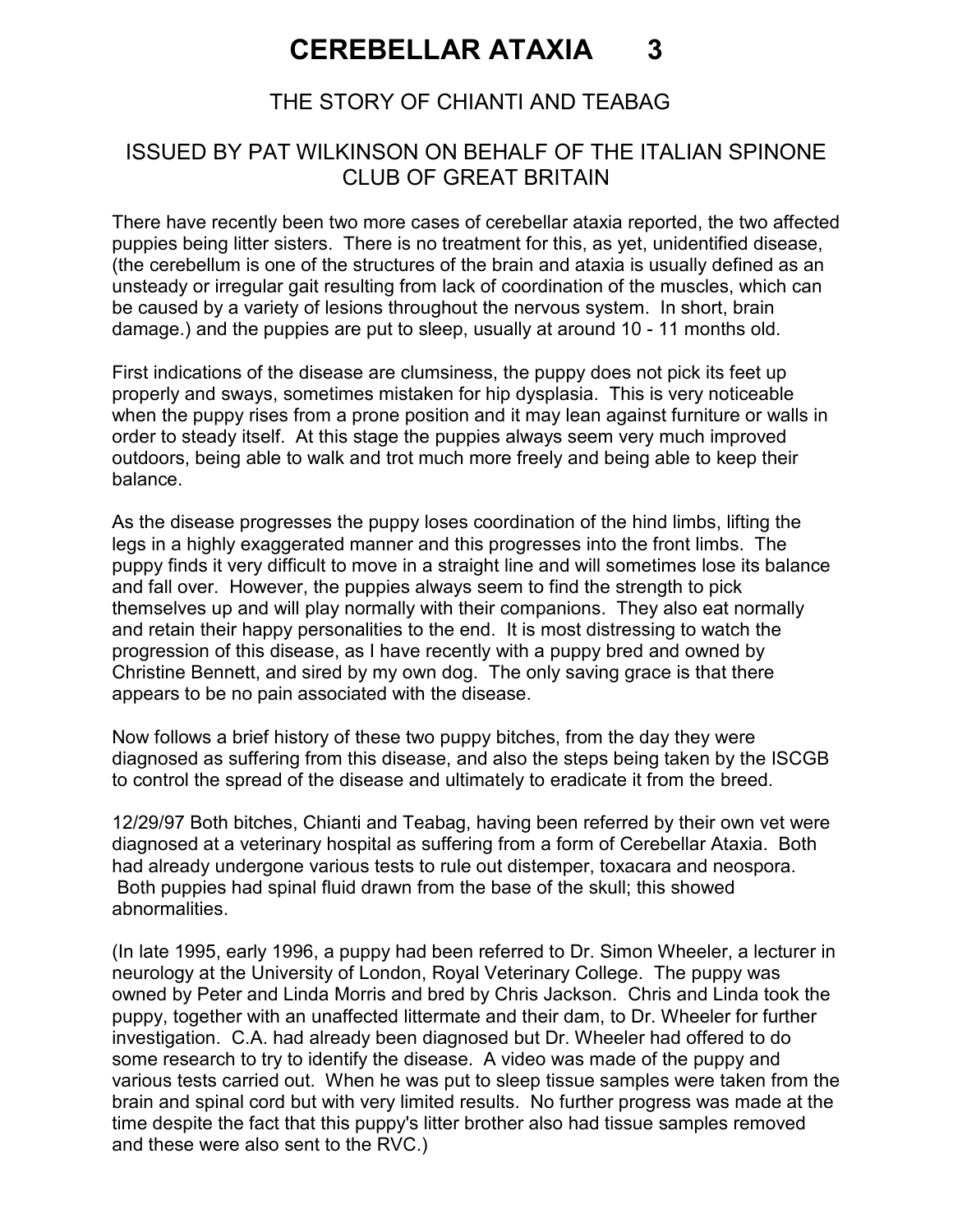# CEREBELLAR ATAXIA 3

### THE STORY OF CHIANTI AND TEABAG

#### ISSUED BY PAT WILKINSON ON BEHALF OF THE ITALIAN SPINONE CLUB OF GREAT BRITAIN

There have recently been two more cases of cerebellar ataxia reported, the two affected puppies being litter sisters. There is no treatment for this, as yet, unidentified disease, (the cerebellum is one of the structures of the brain and ataxia is usually defined as an unsteady or irregular gait resulting from lack of coordination of the muscles, which can be caused by a variety of lesions throughout the nervous system. In short, brain damage.) and the puppies are put to sleep, usually at around 10 - 11 months old.

First indications of the disease are clumsiness, the puppy does not pick its feet up properly and sways, sometimes mistaken for hip dysplasia. This is very noticeable when the puppy rises from a prone position and it may lean against furniture or walls in order to steady itself. At this stage the puppies always seem very much improved outdoors, being able to walk and trot much more freely and being able to keep their balance.

As the disease progresses the puppy loses coordination of the hind limbs, lifting the legs in a highly exaggerated manner and this progresses into the front limbs. The puppy finds it very difficult to move in a straight line and will sometimes lose its balance and fall over. However, the puppies always seem to find the strength to pick themselves up and will play normally with their companions. They also eat normally and retain their happy personalities to the end. It is most distressing to watch the progression of this disease, as I have recently with a puppy bred and owned by Christine Bennett, and sired by my own dog. The only saving grace is that there appears to be no pain associated with the disease.

Now follows a brief history of these two puppy bitches, from the day they were diagnosed as suffering from this disease, and also the steps being taken by the ISCGB to control the spread of the disease and ultimately to eradicate it from the breed.

12/29/97 Both bitches, Chianti and Teabag, having been referred by their own vet were diagnosed at a veterinary hospital as suffering from a form of Cerebellar Ataxia. Both had already undergone various tests to rule out distemper, toxacara and neospora. Both puppies had spinal fluid drawn from the base of the skull; this showed abnormalities.

(In late 1995, early 1996, a puppy had been referred to Dr. Simon Wheeler, a lecturer in neurology at the University of London, Royal Veterinary College. The puppy was owned by Peter and Linda Morris and bred by Chris Jackson. Chris and Linda took the puppy, together with an unaffected littermate and their dam, to Dr. Wheeler for further investigation. C.A. had already been diagnosed but Dr. Wheeler had offered to do some research to try to identify the disease. A video was made of the puppy and various tests carried out. When he was put to sleep tissue samples were taken from the brain and spinal cord but with very limited results. No further progress was made at the time despite the fact that this puppy's litter brother also had tissue samples removed and these were also sent to the RVC.)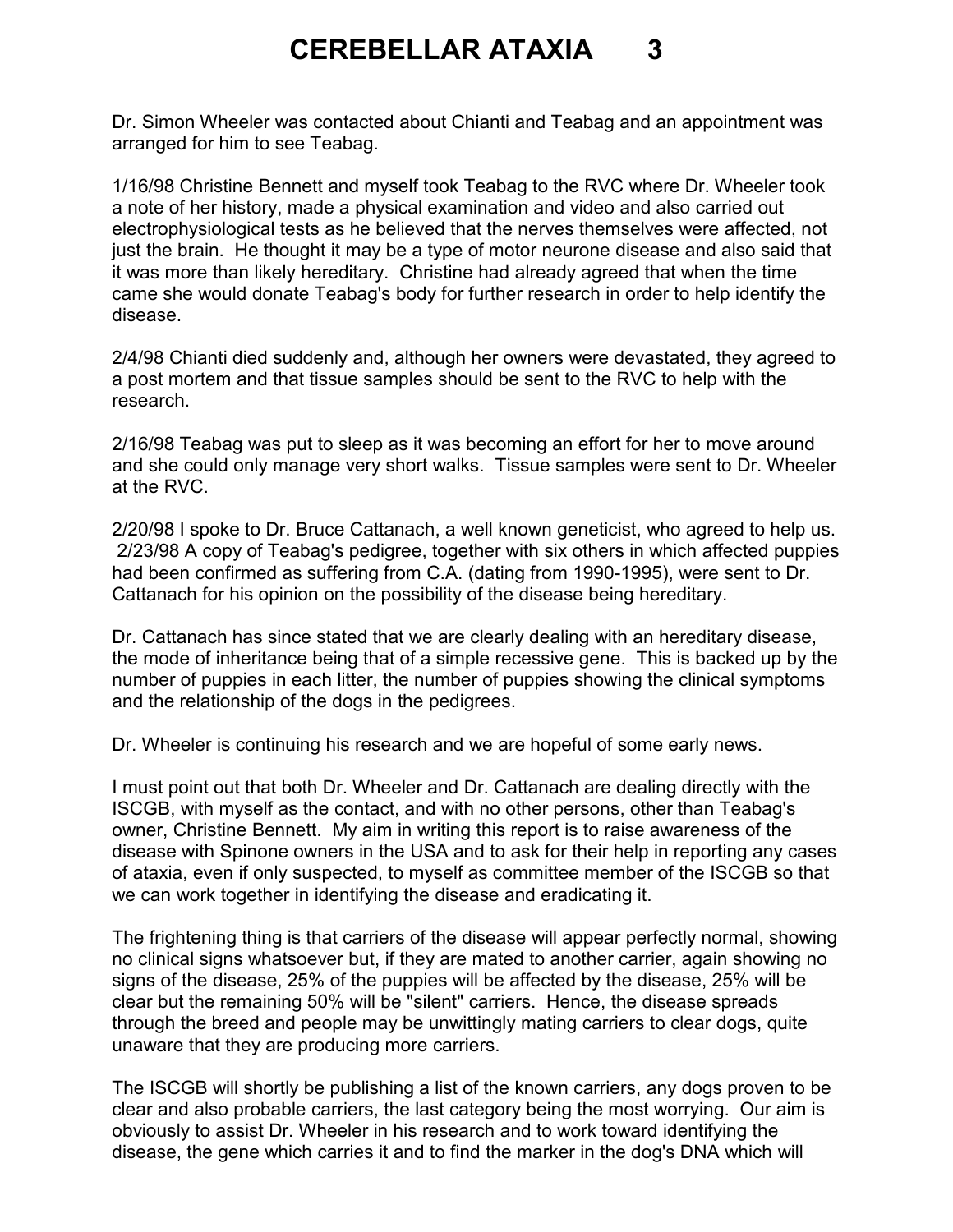### CEREBELLAR ATAXIA 3

Dr. Simon Wheeler was contacted about Chianti and Teabag and an appointment was arranged for him to see Teabag.

1/16/98 Christine Bennett and myself took Teabag to the RVC where Dr. Wheeler took a note of her history, made a physical examination and video and also carried out electrophysiological tests as he believed that the nerves themselves were affected, not just the brain. He thought it may be a type of motor neurone disease and also said that it was more than likely hereditary. Christine had already agreed that when the time came she would donate Teabag's body for further research in order to help identify the disease.

2/4/98 Chianti died suddenly and, although her owners were devastated, they agreed to a post mortem and that tissue samples should be sent to the RVC to help with the research.

2/16/98 Teabag was put to sleep as it was becoming an effort for her to move around and she could only manage very short walks. Tissue samples were sent to Dr. Wheeler at the RVC.

2/20/98 I spoke to Dr. Bruce Cattanach, a well known geneticist, who agreed to help us. 2/23/98 A copy of Teabag's pedigree, together with six others in which affected puppies had been confirmed as suffering from C.A. (dating from 1990-1995), were sent to Dr. Cattanach for his opinion on the possibility of the disease being hereditary.

Dr. Cattanach has since stated that we are clearly dealing with an hereditary disease, the mode of inheritance being that of a simple recessive gene. This is backed up by the number of puppies in each litter, the number of puppies showing the clinical symptoms and the relationship of the dogs in the pedigrees.

Dr. Wheeler is continuing his research and we are hopeful of some early news.

I must point out that both Dr. Wheeler and Dr. Cattanach are dealing directly with the ISCGB, with myself as the contact, and with no other persons, other than Teabag's owner, Christine Bennett. My aim in writing this report is to raise awareness of the disease with Spinone owners in the USA and to ask for their help in reporting any cases of ataxia, even if only suspected, to myself as committee member of the ISCGB so that we can work together in identifying the disease and eradicating it.

The frightening thing is that carriers of the disease will appear perfectly normal, showing no clinical signs whatsoever but, if they are mated to another carrier, again showing no signs of the disease, 25% of the puppies will be affected by the disease, 25% will be clear but the remaining 50% will be "silent" carriers. Hence, the disease spreads through the breed and people may be unwittingly mating carriers to clear dogs, quite unaware that they are producing more carriers.

The ISCGB will shortly be publishing a list of the known carriers, any dogs proven to be clear and also probable carriers, the last category being the most worrying. Our aim is obviously to assist Dr. Wheeler in his research and to work toward identifying the disease, the gene which carries it and to find the marker in the dog's DNA which will